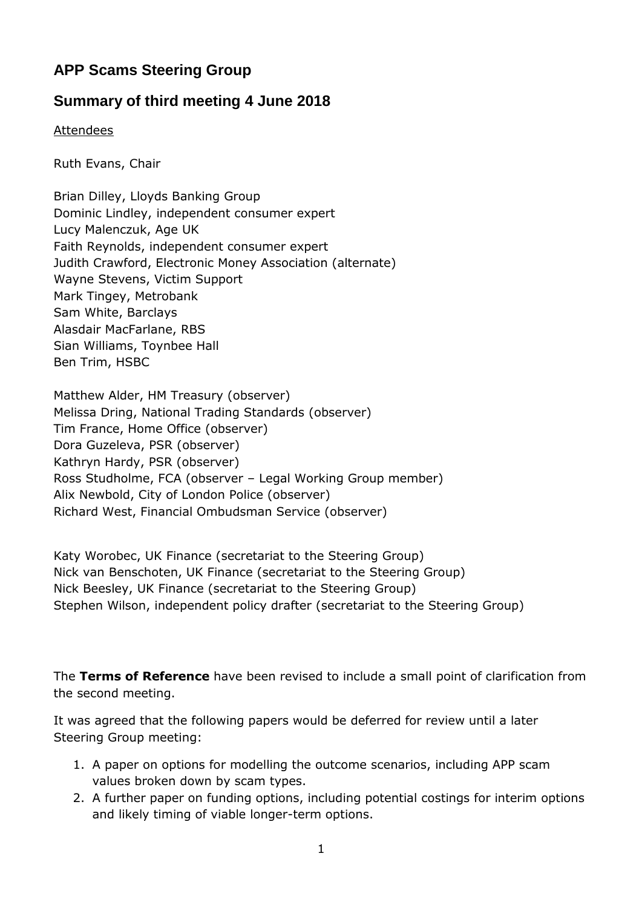# **APP Scams Steering Group**

## **Summary of third meeting 4 June 2018**

Attendees

Ruth Evans, Chair

Brian Dilley, Lloyds Banking Group Dominic Lindley, independent consumer expert Lucy Malenczuk, Age UK Faith Reynolds, independent consumer expert Judith Crawford, Electronic Money Association (alternate) Wayne Stevens, Victim Support Mark Tingey, Metrobank Sam White, Barclays Alasdair MacFarlane, RBS Sian Williams, Toynbee Hall Ben Trim, HSBC

Matthew Alder, HM Treasury (observer) Melissa Dring, National Trading Standards (observer) Tim France, Home Office (observer) Dora Guzeleva, PSR (observer) Kathryn Hardy, PSR (observer) Ross Studholme, FCA (observer – Legal Working Group member) Alix Newbold, City of London Police (observer) Richard West, Financial Ombudsman Service (observer)

Katy Worobec, UK Finance (secretariat to the Steering Group) Nick van Benschoten, UK Finance (secretariat to the Steering Group) Nick Beesley, UK Finance (secretariat to the Steering Group) Stephen Wilson, independent policy drafter (secretariat to the Steering Group)

The **Terms of Reference** have been revised to include a small point of clarification from the second meeting.

It was agreed that the following papers would be deferred for review until a later Steering Group meeting:

- 1. A paper on options for modelling the outcome scenarios, including APP scam values broken down by scam types.
- 2. A further paper on funding options, including potential costings for interim options and likely timing of viable longer-term options.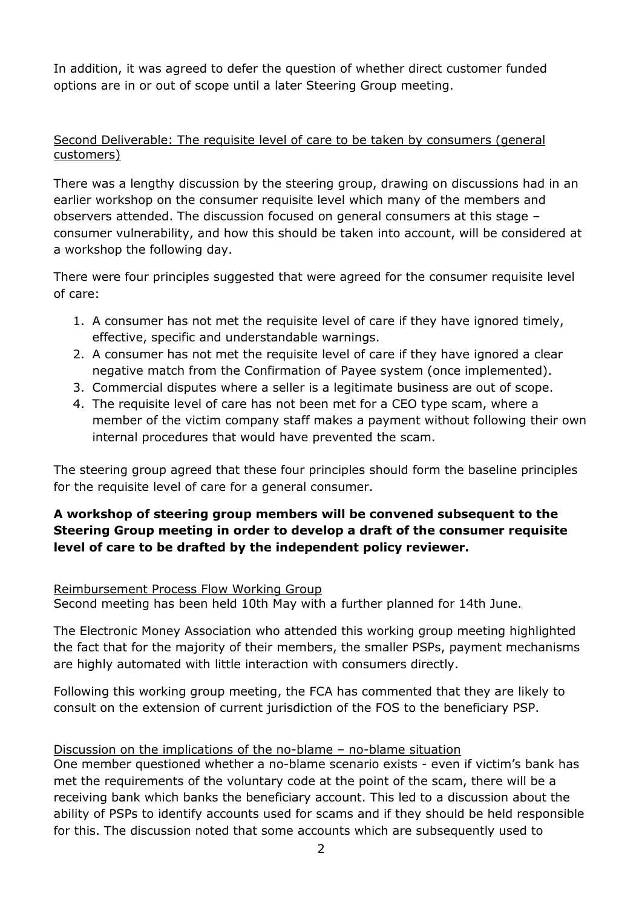In addition, it was agreed to defer the question of whether direct customer funded options are in or out of scope until a later Steering Group meeting.

#### Second Deliverable: The requisite level of care to be taken by consumers (general customers)

There was a lengthy discussion by the steering group, drawing on discussions had in an earlier workshop on the consumer requisite level which many of the members and observers attended. The discussion focused on general consumers at this stage – consumer vulnerability, and how this should be taken into account, will be considered at a workshop the following day.

There were four principles suggested that were agreed for the consumer requisite level of care:

- 1. A consumer has not met the requisite level of care if they have ignored timely, effective, specific and understandable warnings.
- 2. A consumer has not met the requisite level of care if they have ignored a clear negative match from the Confirmation of Payee system (once implemented).
- 3. Commercial disputes where a seller is a legitimate business are out of scope.
- 4. The requisite level of care has not been met for a CEO type scam, where a member of the victim company staff makes a payment without following their own internal procedures that would have prevented the scam.

The steering group agreed that these four principles should form the baseline principles for the requisite level of care for a general consumer.

## **A workshop of steering group members will be convened subsequent to the Steering Group meeting in order to develop a draft of the consumer requisite level of care to be drafted by the independent policy reviewer.**

#### Reimbursement Process Flow Working Group

Second meeting has been held 10th May with a further planned for 14th June.

The Electronic Money Association who attended this working group meeting highlighted the fact that for the majority of their members, the smaller PSPs, payment mechanisms are highly automated with little interaction with consumers directly.

Following this working group meeting, the FCA has commented that they are likely to consult on the extension of current jurisdiction of the FOS to the beneficiary PSP.

### Discussion on the implications of the no-blame – no-blame situation

One member questioned whether a no-blame scenario exists - even if victim's bank has met the requirements of the voluntary code at the point of the scam, there will be a receiving bank which banks the beneficiary account. This led to a discussion about the ability of PSPs to identify accounts used for scams and if they should be held responsible for this. The discussion noted that some accounts which are subsequently used to